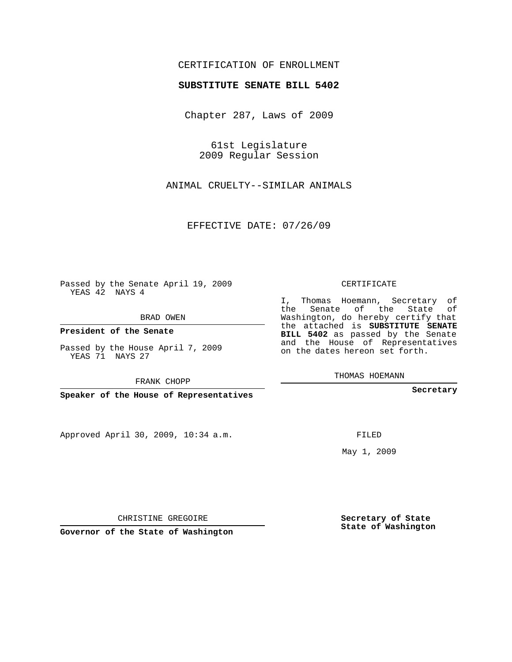## CERTIFICATION OF ENROLLMENT

## **SUBSTITUTE SENATE BILL 5402**

Chapter 287, Laws of 2009

61st Legislature 2009 Regular Session

ANIMAL CRUELTY--SIMILAR ANIMALS

EFFECTIVE DATE: 07/26/09

Passed by the Senate April 19, 2009 YEAS 42 NAYS 4

BRAD OWEN

**President of the Senate**

Passed by the House April 7, 2009 YEAS 71 NAYS 27

FRANK CHOPP

**Speaker of the House of Representatives**

Approved April 30, 2009, 10:34 a.m.

CERTIFICATE

I, Thomas Hoemann, Secretary of the Senate of the State of Washington, do hereby certify that the attached is **SUBSTITUTE SENATE BILL 5402** as passed by the Senate and the House of Representatives on the dates hereon set forth.

THOMAS HOEMANN

**Secretary**

FILED

May 1, 2009

**Secretary of State State of Washington**

CHRISTINE GREGOIRE

**Governor of the State of Washington**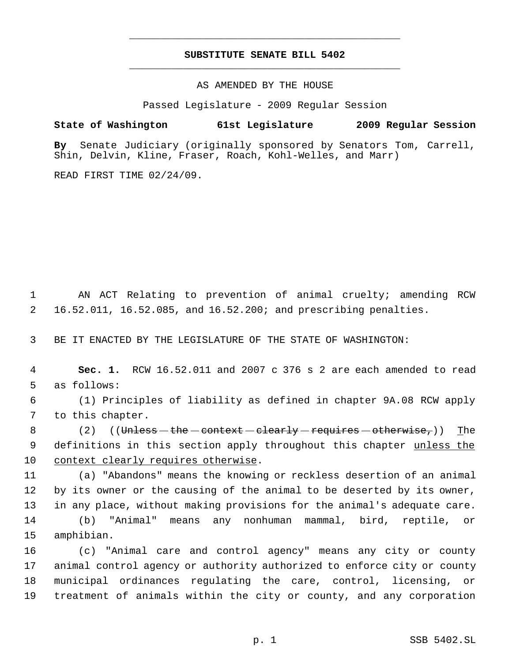## **SUBSTITUTE SENATE BILL 5402** \_\_\_\_\_\_\_\_\_\_\_\_\_\_\_\_\_\_\_\_\_\_\_\_\_\_\_\_\_\_\_\_\_\_\_\_\_\_\_\_\_\_\_\_\_

\_\_\_\_\_\_\_\_\_\_\_\_\_\_\_\_\_\_\_\_\_\_\_\_\_\_\_\_\_\_\_\_\_\_\_\_\_\_\_\_\_\_\_\_\_

AS AMENDED BY THE HOUSE

Passed Legislature - 2009 Regular Session

**State of Washington 61st Legislature 2009 Regular Session**

**By** Senate Judiciary (originally sponsored by Senators Tom, Carrell, Shin, Delvin, Kline, Fraser, Roach, Kohl-Welles, and Marr)

READ FIRST TIME 02/24/09.

 AN ACT Relating to prevention of animal cruelty; amending RCW 16.52.011, 16.52.085, and 16.52.200; and prescribing penalties.

BE IT ENACTED BY THE LEGISLATURE OF THE STATE OF WASHINGTON:

 **Sec. 1.** RCW 16.52.011 and 2007 c 376 s 2 are each amended to read as follows:

 (1) Principles of liability as defined in chapter 9A.08 RCW apply to this chapter.

 $(2)$   $((\text{Unless}-\text{the}-\text{context}-\text{clearly}-\text{requires}-\text{otherwise},))$  The 9 definitions in this section apply throughout this chapter unless the context clearly requires otherwise.

 (a) "Abandons" means the knowing or reckless desertion of an animal by its owner or the causing of the animal to be deserted by its owner, in any place, without making provisions for the animal's adequate care. (b) "Animal" means any nonhuman mammal, bird, reptile, or amphibian.

 (c) "Animal care and control agency" means any city or county animal control agency or authority authorized to enforce city or county municipal ordinances regulating the care, control, licensing, or treatment of animals within the city or county, and any corporation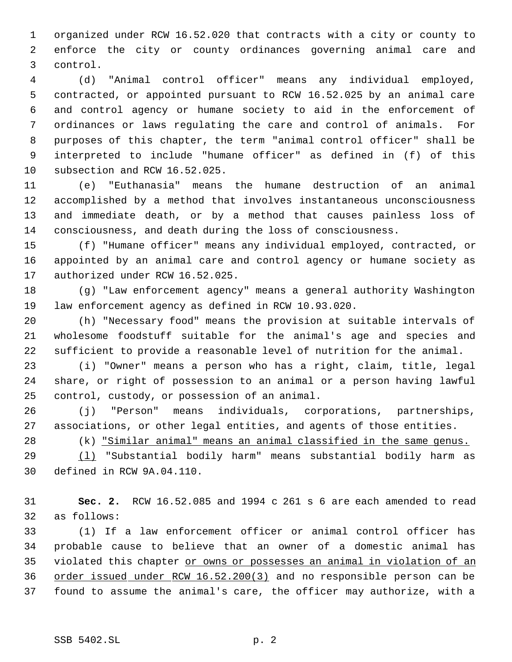organized under RCW 16.52.020 that contracts with a city or county to enforce the city or county ordinances governing animal care and control.

 (d) "Animal control officer" means any individual employed, contracted, or appointed pursuant to RCW 16.52.025 by an animal care and control agency or humane society to aid in the enforcement of ordinances or laws regulating the care and control of animals. For purposes of this chapter, the term "animal control officer" shall be interpreted to include "humane officer" as defined in (f) of this subsection and RCW 16.52.025.

 (e) "Euthanasia" means the humane destruction of an animal accomplished by a method that involves instantaneous unconsciousness and immediate death, or by a method that causes painless loss of consciousness, and death during the loss of consciousness.

 (f) "Humane officer" means any individual employed, contracted, or appointed by an animal care and control agency or humane society as authorized under RCW 16.52.025.

 (g) "Law enforcement agency" means a general authority Washington law enforcement agency as defined in RCW 10.93.020.

 (h) "Necessary food" means the provision at suitable intervals of wholesome foodstuff suitable for the animal's age and species and sufficient to provide a reasonable level of nutrition for the animal.

 (i) "Owner" means a person who has a right, claim, title, legal share, or right of possession to an animal or a person having lawful control, custody, or possession of an animal.

 (j) "Person" means individuals, corporations, partnerships, associations, or other legal entities, and agents of those entities.

(k) "Similar animal" means an animal classified in the same genus.

 (l) "Substantial bodily harm" means substantial bodily harm as defined in RCW 9A.04.110.

 **Sec. 2.** RCW 16.52.085 and 1994 c 261 s 6 are each amended to read as follows:

 (1) If a law enforcement officer or animal control officer has probable cause to believe that an owner of a domestic animal has violated this chapter or owns or possesses an animal in violation of an order issued under RCW 16.52.200(3) and no responsible person can be found to assume the animal's care, the officer may authorize, with a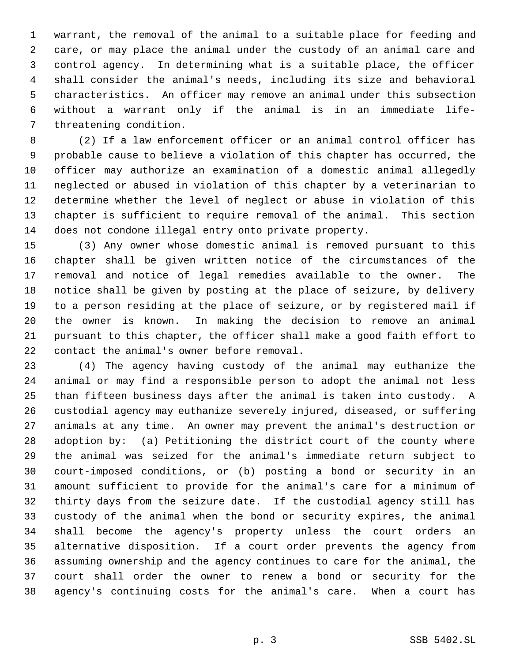warrant, the removal of the animal to a suitable place for feeding and care, or may place the animal under the custody of an animal care and control agency. In determining what is a suitable place, the officer shall consider the animal's needs, including its size and behavioral characteristics. An officer may remove an animal under this subsection without a warrant only if the animal is in an immediate life- threatening condition.

 (2) If a law enforcement officer or an animal control officer has probable cause to believe a violation of this chapter has occurred, the officer may authorize an examination of a domestic animal allegedly neglected or abused in violation of this chapter by a veterinarian to determine whether the level of neglect or abuse in violation of this chapter is sufficient to require removal of the animal. This section does not condone illegal entry onto private property.

 (3) Any owner whose domestic animal is removed pursuant to this chapter shall be given written notice of the circumstances of the removal and notice of legal remedies available to the owner. The notice shall be given by posting at the place of seizure, by delivery to a person residing at the place of seizure, or by registered mail if the owner is known. In making the decision to remove an animal pursuant to this chapter, the officer shall make a good faith effort to contact the animal's owner before removal.

 (4) The agency having custody of the animal may euthanize the animal or may find a responsible person to adopt the animal not less than fifteen business days after the animal is taken into custody. A custodial agency may euthanize severely injured, diseased, or suffering animals at any time. An owner may prevent the animal's destruction or adoption by: (a) Petitioning the district court of the county where the animal was seized for the animal's immediate return subject to court-imposed conditions, or (b) posting a bond or security in an amount sufficient to provide for the animal's care for a minimum of thirty days from the seizure date. If the custodial agency still has custody of the animal when the bond or security expires, the animal shall become the agency's property unless the court orders an alternative disposition. If a court order prevents the agency from assuming ownership and the agency continues to care for the animal, the court shall order the owner to renew a bond or security for the 38 agency's continuing costs for the animal's care. When a court has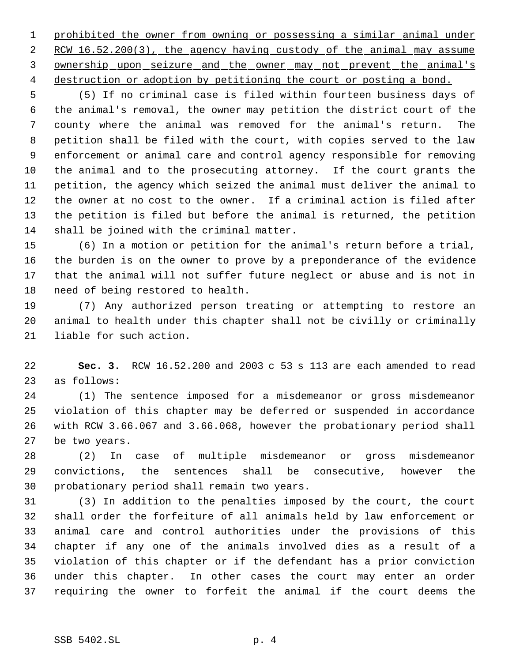prohibited the owner from owning or possessing a similar animal under 2 RCW 16.52.200(3), the agency having custody of the animal may assume ownership upon seizure and the owner may not prevent the animal's destruction or adoption by petitioning the court or posting a bond.

 (5) If no criminal case is filed within fourteen business days of the animal's removal, the owner may petition the district court of the county where the animal was removed for the animal's return. The petition shall be filed with the court, with copies served to the law enforcement or animal care and control agency responsible for removing the animal and to the prosecuting attorney. If the court grants the petition, the agency which seized the animal must deliver the animal to the owner at no cost to the owner. If a criminal action is filed after the petition is filed but before the animal is returned, the petition shall be joined with the criminal matter.

 (6) In a motion or petition for the animal's return before a trial, the burden is on the owner to prove by a preponderance of the evidence that the animal will not suffer future neglect or abuse and is not in need of being restored to health.

 (7) Any authorized person treating or attempting to restore an animal to health under this chapter shall not be civilly or criminally liable for such action.

 **Sec. 3.** RCW 16.52.200 and 2003 c 53 s 113 are each amended to read as follows:

 (1) The sentence imposed for a misdemeanor or gross misdemeanor violation of this chapter may be deferred or suspended in accordance with RCW 3.66.067 and 3.66.068, however the probationary period shall be two years.

 (2) In case of multiple misdemeanor or gross misdemeanor convictions, the sentences shall be consecutive, however the probationary period shall remain two years.

 (3) In addition to the penalties imposed by the court, the court shall order the forfeiture of all animals held by law enforcement or animal care and control authorities under the provisions of this chapter if any one of the animals involved dies as a result of a violation of this chapter or if the defendant has a prior conviction under this chapter. In other cases the court may enter an order requiring the owner to forfeit the animal if the court deems the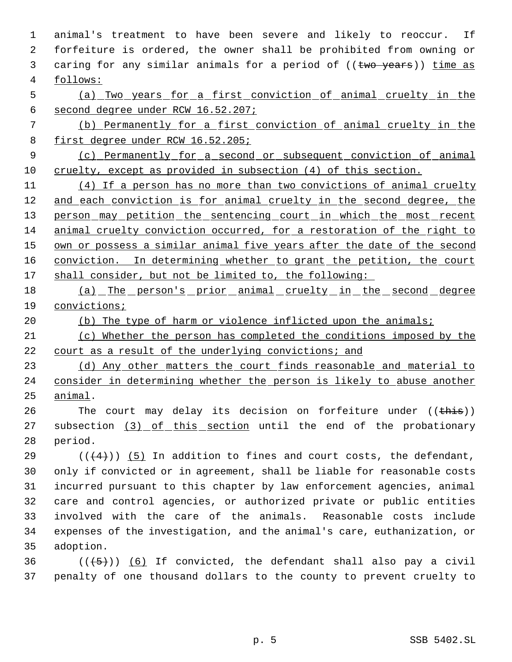animal's treatment to have been severe and likely to reoccur. If forfeiture is ordered, the owner shall be prohibited from owning or 3 caring for any similar animals for a period of ((two years)) time as follows:

 (a) Two years for a first conviction of animal cruelty in the second degree under RCW 16.52.207;

 (b) Permanently for a first conviction of animal cruelty in the first degree under RCW 16.52.205;

 (c) Permanently for a second or subsequent conviction of animal cruelty, except as provided in subsection (4) of this section.

 (4) If a person has no more than two convictions of animal cruelty 12 and each conviction is for animal cruelty in the second degree, the 13 person may petition the sentencing court in which the most recent animal cruelty conviction occurred, for a restoration of the right to 15 own or possess a similar animal five years after the date of the second 16 conviction. In determining whether to grant the petition, the court 17 shall consider, but not be limited to, the following:

18 (a) The person's prior animal cruelty in the second degree convictions;

- 20 (b) The type of harm or violence inflicted upon the animals;
- (c) Whether the person has completed the conditions imposed by the court as a result of the underlying convictions; and

23 (d) Any other matters the court finds reasonable and material to consider in determining whether the person is likely to abuse another animal.

26 The court may delay its decision on forfeiture under ((this)) 27 subsection (3) of this section until the end of the probationary period.

29 ( $(\overline{(4)})$  (5) In addition to fines and court costs, the defendant, only if convicted or in agreement, shall be liable for reasonable costs incurred pursuant to this chapter by law enforcement agencies, animal care and control agencies, or authorized private or public entities involved with the care of the animals. Reasonable costs include expenses of the investigation, and the animal's care, euthanization, or adoption.

36  $((\langle 5 \rangle)(6)$  If convicted, the defendant shall also pay a civil penalty of one thousand dollars to the county to prevent cruelty to